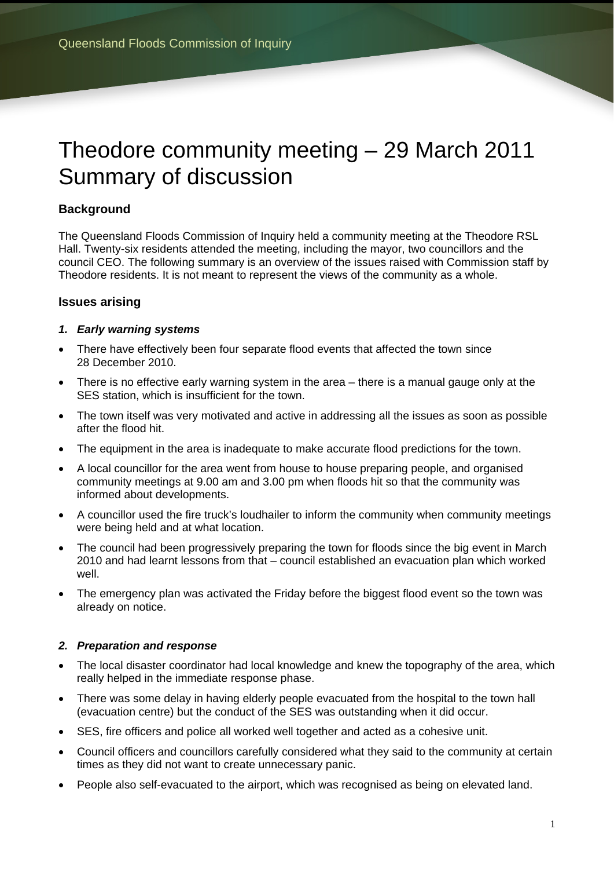# Theodore community meeting – 29 March 2011 Summary of discussion

# **Background**

The Queensland Floods Commission of Inquiry held a community meeting at the Theodore RSL Hall. Twenty-six residents attended the meeting, including the mayor, two councillors and the council CEO. The following summary is an overview of the issues raised with Commission staff by Theodore residents. It is not meant to represent the views of the community as a whole.

## **Issues arising**

#### *1. Early warning systems*

- There have effectively been four separate flood events that affected the town since 28 December 2010.
- There is no effective early warning system in the area there is a manual gauge only at the SES station, which is insufficient for the town.
- The town itself was very motivated and active in addressing all the issues as soon as possible after the flood hit.
- The equipment in the area is inadequate to make accurate flood predictions for the town.
- A local councillor for the area went from house to house preparing people, and organised community meetings at 9.00 am and 3.00 pm when floods hit so that the community was informed about developments.
- A councillor used the fire truck's loudhailer to inform the community when community meetings were being held and at what location.
- The council had been progressively preparing the town for floods since the big event in March 2010 and had learnt lessons from that – council established an evacuation plan which worked well.
- The emergency plan was activated the Friday before the biggest flood event so the town was already on notice.

#### *2. Preparation and response*

- The local disaster coordinator had local knowledge and knew the topography of the area, which really helped in the immediate response phase.
- There was some delay in having elderly people evacuated from the hospital to the town hall (evacuation centre) but the conduct of the SES was outstanding when it did occur.
- SES, fire officers and police all worked well together and acted as a cohesive unit.
- Council officers and councillors carefully considered what they said to the community at certain times as they did not want to create unnecessary panic.
- People also self-evacuated to the airport, which was recognised as being on elevated land.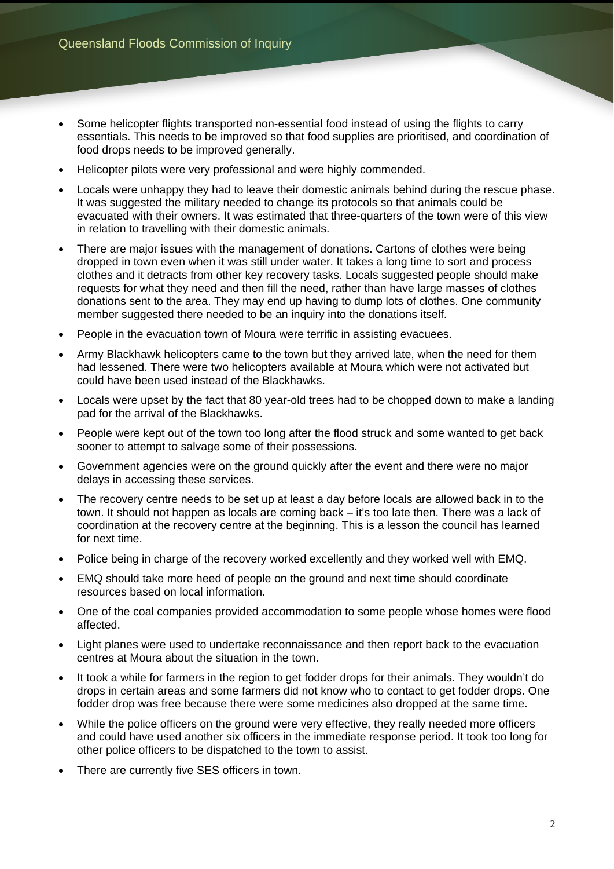- Some helicopter flights transported non-essential food instead of using the flights to carry essentials. This needs to be improved so that food supplies are prioritised, and coordination of food drops needs to be improved generally.
- Helicopter pilots were very professional and were highly commended.
- Locals were unhappy they had to leave their domestic animals behind during the rescue phase. It was suggested the military needed to change its protocols so that animals could be evacuated with their owners. It was estimated that three-quarters of the town were of this view in relation to travelling with their domestic animals.
- There are major issues with the management of donations. Cartons of clothes were being dropped in town even when it was still under water. It takes a long time to sort and process clothes and it detracts from other key recovery tasks. Locals suggested people should make requests for what they need and then fill the need, rather than have large masses of clothes donations sent to the area. They may end up having to dump lots of clothes. One community member suggested there needed to be an inquiry into the donations itself.
- People in the evacuation town of Moura were terrific in assisting evacuees.
- Army Blackhawk helicopters came to the town but they arrived late, when the need for them had lessened. There were two helicopters available at Moura which were not activated but could have been used instead of the Blackhawks.
- Locals were upset by the fact that 80 year-old trees had to be chopped down to make a landing pad for the arrival of the Blackhawks.
- People were kept out of the town too long after the flood struck and some wanted to get back sooner to attempt to salvage some of their possessions.
- Government agencies were on the ground quickly after the event and there were no major delays in accessing these services.
- The recovery centre needs to be set up at least a day before locals are allowed back in to the town. It should not happen as locals are coming back – it's too late then. There was a lack of coordination at the recovery centre at the beginning. This is a lesson the council has learned for next time.
- Police being in charge of the recovery worked excellently and they worked well with EMQ.
- EMQ should take more heed of people on the ground and next time should coordinate resources based on local information.
- One of the coal companies provided accommodation to some people whose homes were flood affected.
- Light planes were used to undertake reconnaissance and then report back to the evacuation centres at Moura about the situation in the town.
- It took a while for farmers in the region to get fodder drops for their animals. They wouldn't do drops in certain areas and some farmers did not know who to contact to get fodder drops. One fodder drop was free because there were some medicines also dropped at the same time.
- While the police officers on the ground were very effective, they really needed more officers and could have used another six officers in the immediate response period. It took too long for other police officers to be dispatched to the town to assist.
- There are currently five SES officers in town.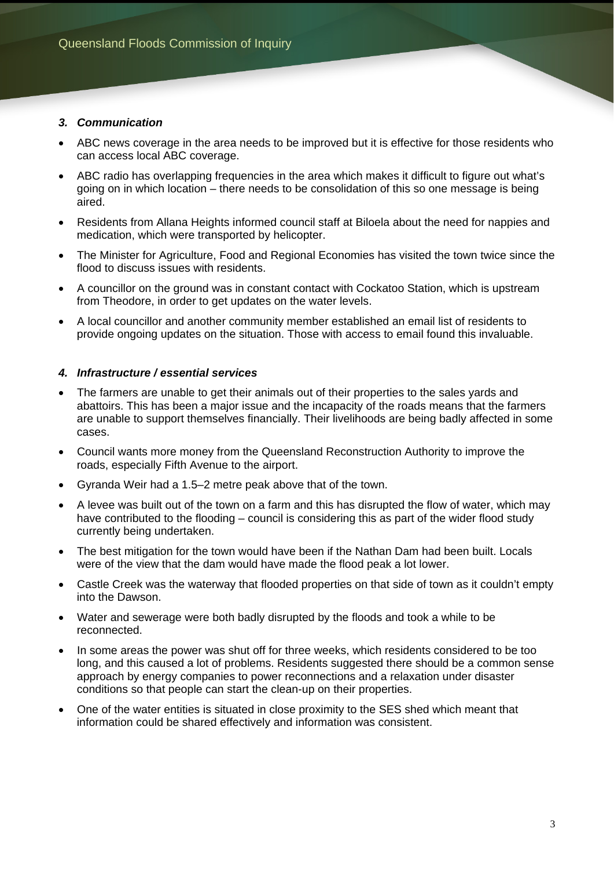#### *3. Communication*

- ABC news coverage in the area needs to be improved but it is effective for those residents who can access local ABC coverage.
- ABC radio has overlapping frequencies in the area which makes it difficult to figure out what's going on in which location – there needs to be consolidation of this so one message is being aired.
- Residents from Allana Heights informed council staff at Biloela about the need for nappies and medication, which were transported by helicopter.
- The Minister for Agriculture, Food and Regional Economies has visited the town twice since the flood to discuss issues with residents.
- A councillor on the ground was in constant contact with Cockatoo Station, which is upstream from Theodore, in order to get updates on the water levels.
- A local councillor and another community member established an email list of residents to provide ongoing updates on the situation. Those with access to email found this invaluable.

#### *4. Infrastructure / essential services*

- The farmers are unable to get their animals out of their properties to the sales yards and abattoirs. This has been a major issue and the incapacity of the roads means that the farmers are unable to support themselves financially. Their livelihoods are being badly affected in some cases.
- Council wants more money from the Queensland Reconstruction Authority to improve the roads, especially Fifth Avenue to the airport.
- Gyranda Weir had a 1.5–2 metre peak above that of the town.
- A levee was built out of the town on a farm and this has disrupted the flow of water, which may have contributed to the flooding – council is considering this as part of the wider flood study currently being undertaken.
- The best mitigation for the town would have been if the Nathan Dam had been built. Locals were of the view that the dam would have made the flood peak a lot lower.
- Castle Creek was the waterway that flooded properties on that side of town as it couldn't empty into the Dawson.
- Water and sewerage were both badly disrupted by the floods and took a while to be reconnected.
- In some areas the power was shut off for three weeks, which residents considered to be too long, and this caused a lot of problems. Residents suggested there should be a common sense approach by energy companies to power reconnections and a relaxation under disaster conditions so that people can start the clean-up on their properties.
- One of the water entities is situated in close proximity to the SES shed which meant that information could be shared effectively and information was consistent.